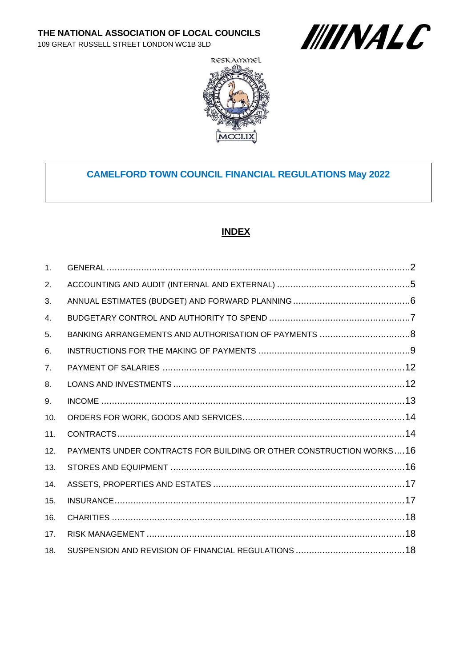109 GREAT RUSSELL STREET LONDON WC1B 3LD





# **CAMELFORD TOWN COUNCIL FINANCIAL REGULATIONS May 2022**

#### **INDEX**

| 1 <sub>1</sub> |                                                                     |  |
|----------------|---------------------------------------------------------------------|--|
| 2.             |                                                                     |  |
| 3.             |                                                                     |  |
| 4.             |                                                                     |  |
| 5.             |                                                                     |  |
| 6.             |                                                                     |  |
| 7 <sub>1</sub> |                                                                     |  |
| 8.             |                                                                     |  |
| 9.             |                                                                     |  |
| 10.            |                                                                     |  |
| 11.            |                                                                     |  |
| 12.            | PAYMENTS UNDER CONTRACTS FOR BUILDING OR OTHER CONSTRUCTION WORKS16 |  |
| 13.            |                                                                     |  |
| 14.            |                                                                     |  |
| 15.            |                                                                     |  |
| 16.            |                                                                     |  |
| 17.            |                                                                     |  |
| 18.            |                                                                     |  |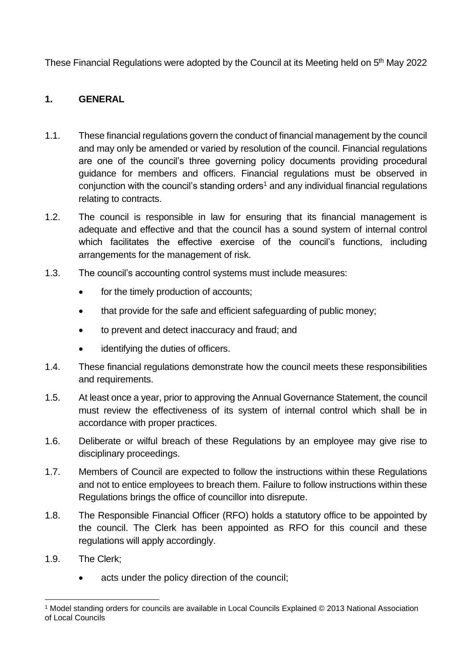These Financial Regulations were adopted by the Council at its Meeting held on 5<sup>th</sup> May 2022

# <span id="page-1-0"></span>**1. GENERAL**

- 1.1. These financial regulations govern the conduct of financial management by the council and may only be amended or varied by resolution of the council. Financial regulations are one of the council's three governing policy documents providing procedural guidance for members and officers. Financial regulations must be observed in conjunction with the council's standing orders<sup>1</sup> and any individual financial regulations relating to contracts.
- 1.2. The council is responsible in law for ensuring that its financial management is adequate and effective and that the council has a sound system of internal control which facilitates the effective exercise of the council's functions, including arrangements for the management of risk.
- 1.3. The council's accounting control systems must include measures:
	- for the timely production of accounts;
	- that provide for the safe and efficient safeguarding of public money;
	- to prevent and detect inaccuracy and fraud; and
	- identifying the duties of officers.
- 1.4. These financial regulations demonstrate how the council meets these responsibilities and requirements.
- 1.5. At least once a year, prior to approving the Annual Governance Statement, the council must review the effectiveness of its system of internal control which shall be in accordance with proper practices.
- 1.6. Deliberate or wilful breach of these Regulations by an employee may give rise to disciplinary proceedings.
- 1.7. Members of Council are expected to follow the instructions within these Regulations and not to entice employees to breach them. Failure to follow instructions within these Regulations brings the office of councillor into disrepute.
- 1.8. The Responsible Financial Officer (RFO) holds a statutory office to be appointed by the council. The Clerk has been appointed as RFO for this council and these regulations will apply accordingly.
- 1.9. The Clerk;
	- acts under the policy direction of the council:

<sup>1</sup> Model standing orders for councils are available in Local Councils Explained © 2013 National Association of Local Councils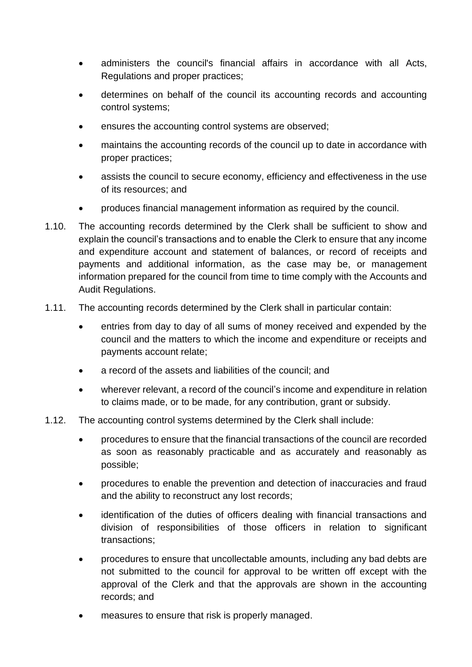- administers the council's financial affairs in accordance with all Acts, Regulations and proper practices;
- determines on behalf of the council its accounting records and accounting control systems;
- ensures the accounting control systems are observed;
- maintains the accounting records of the council up to date in accordance with proper practices;
- assists the council to secure economy, efficiency and effectiveness in the use of its resources; and
- produces financial management information as required by the council.
- 1.10. The accounting records determined by the Clerk shall be sufficient to show and explain the council's transactions and to enable the Clerk to ensure that any income and expenditure account and statement of balances, or record of receipts and payments and additional information, as the case may be, or management information prepared for the council from time to time comply with the Accounts and Audit Regulations.
- 1.11. The accounting records determined by the Clerk shall in particular contain:
	- entries from day to day of all sums of money received and expended by the council and the matters to which the income and expenditure or receipts and payments account relate;
	- a record of the assets and liabilities of the council; and
	- wherever relevant, a record of the council's income and expenditure in relation to claims made, or to be made, for any contribution, grant or subsidy.
- 1.12. The accounting control systems determined by the Clerk shall include:
	- procedures to ensure that the financial transactions of the council are recorded as soon as reasonably practicable and as accurately and reasonably as possible;
	- procedures to enable the prevention and detection of inaccuracies and fraud and the ability to reconstruct any lost records;
	- identification of the duties of officers dealing with financial transactions and division of responsibilities of those officers in relation to significant transactions;
	- procedures to ensure that uncollectable amounts, including any bad debts are not submitted to the council for approval to be written off except with the approval of the Clerk and that the approvals are shown in the accounting records; and
	- measures to ensure that risk is properly managed.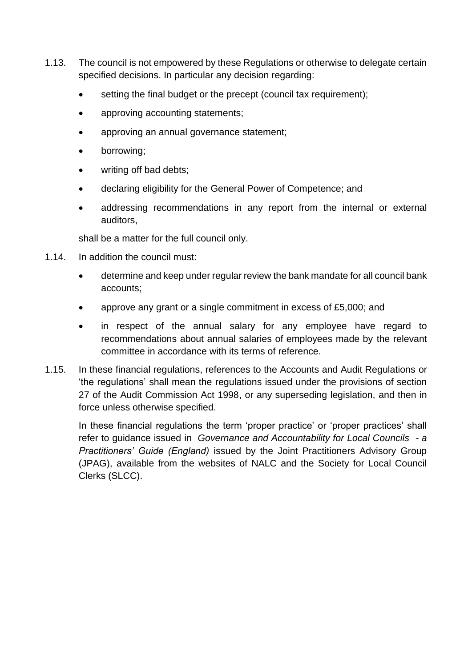- 1.13. The council is not empowered by these Regulations or otherwise to delegate certain specified decisions. In particular any decision regarding:
	- setting the final budget or the precept (council tax requirement);
	- approving accounting statements;
	- approving an annual governance statement;
	- borrowing;
	- writing off bad debts;
	- declaring eligibility for the General Power of Competence; and
	- addressing recommendations in any report from the internal or external auditors,

shall be a matter for the full council only.

- 1.14. In addition the council must:
	- determine and keep under regular review the bank mandate for all council bank accounts;
	- approve any grant or a single commitment in excess of £5,000; and
	- in respect of the annual salary for any employee have regard to recommendations about annual salaries of employees made by the relevant committee in accordance with its terms of reference.
- 1.15. In these financial regulations, references to the Accounts and Audit Regulations or 'the regulations' shall mean the regulations issued under the provisions of section 27 of the Audit Commission Act 1998, or any superseding legislation, and then in force unless otherwise specified.

<span id="page-3-0"></span>In these financial regulations the term 'proper practice' or 'proper practices' shall refer to guidance issued in *Governance and Accountability for Local Councils - a Practitioners' Guide (England)* issued by the Joint Practitioners Advisory Group (JPAG), available from the websites of NALC and the Society for Local Council Clerks (SLCC).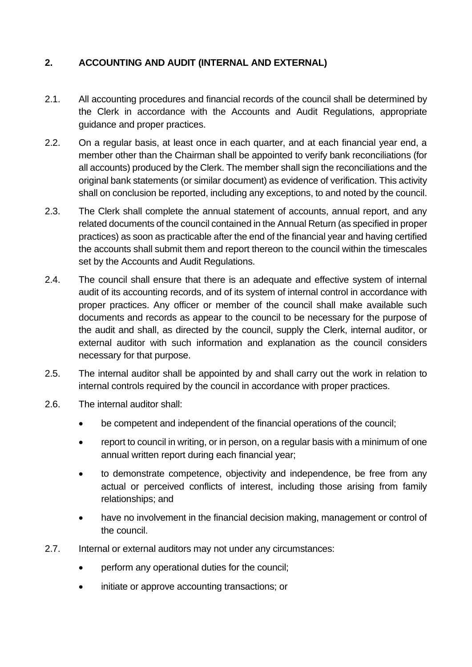# **2. ACCOUNTING AND AUDIT (INTERNAL AND EXTERNAL)**

- 2.1. All accounting procedures and financial records of the council shall be determined by the Clerk in accordance with the Accounts and Audit Regulations, appropriate guidance and proper practices.
- 2.2. On a regular basis, at least once in each quarter, and at each financial year end, a member other than the Chairman shall be appointed to verify bank reconciliations (for all accounts) produced by the Clerk. The member shall sign the reconciliations and the original bank statements (or similar document) as evidence of verification. This activity shall on conclusion be reported, including any exceptions, to and noted by the council.
- 2.3. The Clerk shall complete the annual statement of accounts, annual report, and any related documents of the council contained in the Annual Return (as specified in proper practices) as soon as practicable after the end of the financial year and having certified the accounts shall submit them and report thereon to the council within the timescales set by the Accounts and Audit Regulations.
- 2.4. The council shall ensure that there is an adequate and effective system of internal audit of its accounting records, and of its system of internal control in accordance with proper practices. Any officer or member of the council shall make available such documents and records as appear to the council to be necessary for the purpose of the audit and shall, as directed by the council, supply the Clerk, internal auditor, or external auditor with such information and explanation as the council considers necessary for that purpose.
- 2.5. The internal auditor shall be appointed by and shall carry out the work in relation to internal controls required by the council in accordance with proper practices.
- 2.6. The internal auditor shall:
	- be competent and independent of the financial operations of the council;
	- report to council in writing, or in person, on a regular basis with a minimum of one annual written report during each financial year;
	- to demonstrate competence, objectivity and independence, be free from any actual or perceived conflicts of interest, including those arising from family relationships; and
	- have no involvement in the financial decision making, management or control of the council.
- 2.7. Internal or external auditors may not under any circumstances:
	- perform any operational duties for the council;
	- initiate or approve accounting transactions; or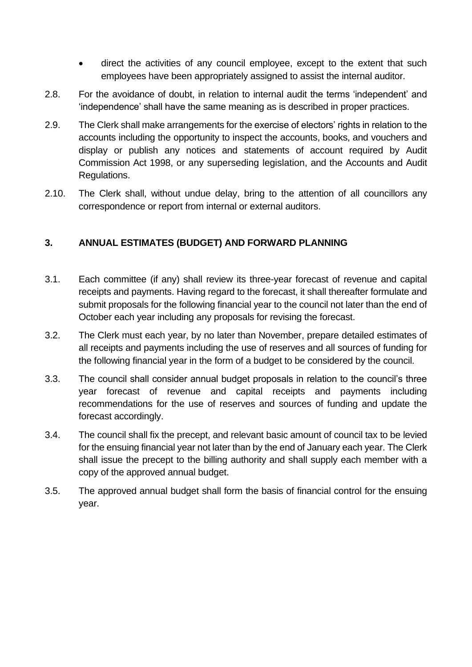- direct the activities of any council employee, except to the extent that such employees have been appropriately assigned to assist the internal auditor.
- 2.8. For the avoidance of doubt, in relation to internal audit the terms 'independent' and 'independence' shall have the same meaning as is described in proper practices.
- 2.9. The Clerk shall make arrangements for the exercise of electors' rights in relation to the accounts including the opportunity to inspect the accounts, books, and vouchers and display or publish any notices and statements of account required by Audit Commission Act 1998, or any superseding legislation, and the Accounts and Audit Regulations.
- 2.10. The Clerk shall, without undue delay, bring to the attention of all councillors any correspondence or report from internal or external auditors.

## <span id="page-5-0"></span>**3. ANNUAL ESTIMATES (BUDGET) AND FORWARD PLANNING**

- 3.1. Each committee (if any) shall review its three-year forecast of revenue and capital receipts and payments. Having regard to the forecast, it shall thereafter formulate and submit proposals for the following financial year to the council not later than the end of October each year including any proposals for revising the forecast.
- 3.2. The Clerk must each year, by no later than November, prepare detailed estimates of all receipts and payments including the use of reserves and all sources of funding for the following financial year in the form of a budget to be considered by the council.
- 3.3. The council shall consider annual budget proposals in relation to the council's three year forecast of revenue and capital receipts and payments including recommendations for the use of reserves and sources of funding and update the forecast accordingly.
- 3.4. The council shall fix the precept, and relevant basic amount of council tax to be levied for the ensuing financial year not later than by the end of January each year. The Clerk shall issue the precept to the billing authority and shall supply each member with a copy of the approved annual budget.
- <span id="page-5-1"></span>3.5. The approved annual budget shall form the basis of financial control for the ensuing year.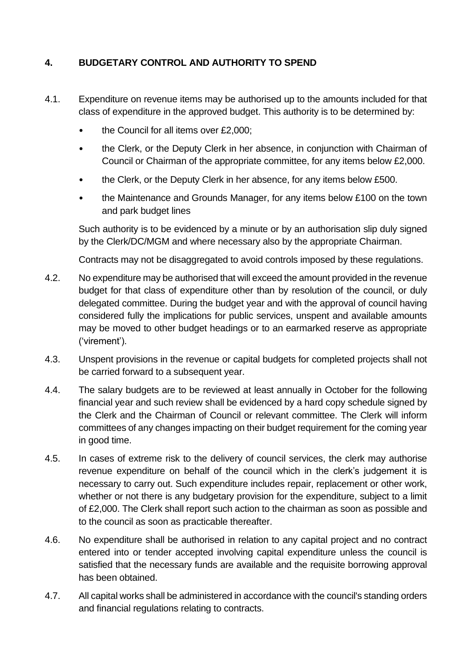# **4. BUDGETARY CONTROL AND AUTHORITY TO SPEND**

- 4.1. Expenditure on revenue items may be authorised up to the amounts included for that class of expenditure in the approved budget. This authority is to be determined by:
	- the Council for all items over £2,000;
	- the Clerk, or the Deputy Clerk in her absence, in conjunction with Chairman of Council or Chairman of the appropriate committee, for any items below £2,000.
	- the Clerk, or the Deputy Clerk in her absence, for any items below £500.
	- the Maintenance and Grounds Manager, for any items below £100 on the town and park budget lines

Such authority is to be evidenced by a minute or by an authorisation slip duly signed by the Clerk/DC/MGM and where necessary also by the appropriate Chairman.

Contracts may not be disaggregated to avoid controls imposed by these regulations.

- 4.2. No expenditure may be authorised that will exceed the amount provided in the revenue budget for that class of expenditure other than by resolution of the council, or duly delegated committee. During the budget year and with the approval of council having considered fully the implications for public services, unspent and available amounts may be moved to other budget headings or to an earmarked reserve as appropriate ('virement').
- 4.3. Unspent provisions in the revenue or capital budgets for completed projects shall not be carried forward to a subsequent year.
- 4.4. The salary budgets are to be reviewed at least annually in October for the following financial year and such review shall be evidenced by a hard copy schedule signed by the Clerk and the Chairman of Council or relevant committee. The Clerk will inform committees of any changes impacting on their budget requirement for the coming year in good time.
- 4.5. In cases of extreme risk to the delivery of council services, the clerk may authorise revenue expenditure on behalf of the council which in the clerk's judgement it is necessary to carry out. Such expenditure includes repair, replacement or other work, whether or not there is any budgetary provision for the expenditure, subject to a limit of £2,000. The Clerk shall report such action to the chairman as soon as possible and to the council as soon as practicable thereafter.
- 4.6. No expenditure shall be authorised in relation to any capital project and no contract entered into or tender accepted involving capital expenditure unless the council is satisfied that the necessary funds are available and the requisite borrowing approval has been obtained.
- 4.7. All capital works shall be administered in accordance with the council's standing orders and financial regulations relating to contracts.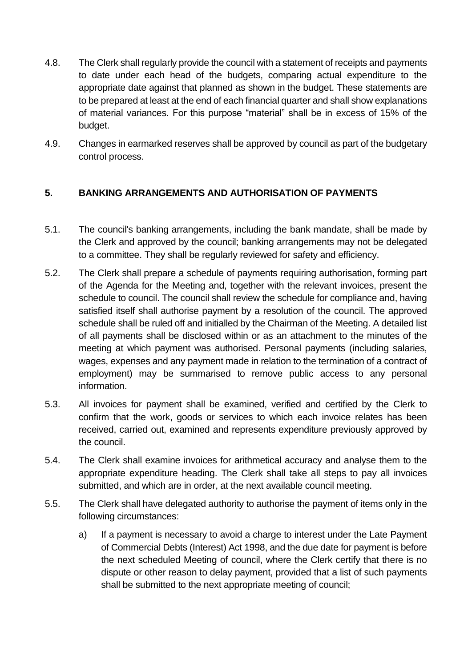- 4.8. The Clerk shall regularly provide the council with a statement of receipts and payments to date under each head of the budgets, comparing actual expenditure to the appropriate date against that planned as shown in the budget. These statements are to be prepared at least at the end of each financial quarter and shall show explanations of material variances. For this purpose "material" shall be in excess of 15% of the budget.
- 4.9. Changes in earmarked reserves shall be approved by council as part of the budgetary control process.

# <span id="page-7-0"></span>**5. BANKING ARRANGEMENTS AND AUTHORISATION OF PAYMENTS**

- 5.1. The council's banking arrangements, including the bank mandate, shall be made by the Clerk and approved by the council; banking arrangements may not be delegated to a committee. They shall be regularly reviewed for safety and efficiency.
- 5.2. The Clerk shall prepare a schedule of payments requiring authorisation, forming part of the Agenda for the Meeting and, together with the relevant invoices, present the schedule to council. The council shall review the schedule for compliance and, having satisfied itself shall authorise payment by a resolution of the council. The approved schedule shall be ruled off and initialled by the Chairman of the Meeting. A detailed list of all payments shall be disclosed within or as an attachment to the minutes of the meeting at which payment was authorised. Personal payments (including salaries, wages, expenses and any payment made in relation to the termination of a contract of employment) may be summarised to remove public access to any personal information.
- 5.3. All invoices for payment shall be examined, verified and certified by the Clerk to confirm that the work, goods or services to which each invoice relates has been received, carried out, examined and represents expenditure previously approved by the council.
- 5.4. The Clerk shall examine invoices for arithmetical accuracy and analyse them to the appropriate expenditure heading. The Clerk shall take all steps to pay all invoices submitted, and which are in order, at the next available council meeting.
- 5.5. The Clerk shall have delegated authority to authorise the payment of items only in the following circumstances:
	- a) If a payment is necessary to avoid a charge to interest under the Late Payment of Commercial Debts (Interest) Act 1998, and the due date for payment is before the next scheduled Meeting of council, where the Clerk certify that there is no dispute or other reason to delay payment, provided that a list of such payments shall be submitted to the next appropriate meeting of council;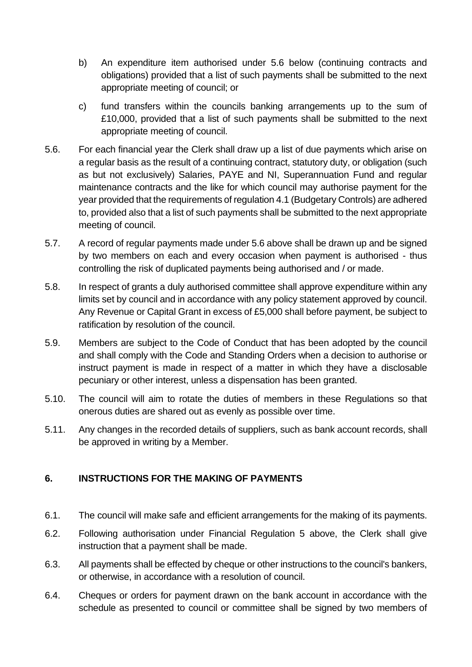- b) An expenditure item authorised under 5.6 below (continuing contracts and obligations) provided that a list of such payments shall be submitted to the next appropriate meeting of council; or
- c) fund transfers within the councils banking arrangements up to the sum of £10,000, provided that a list of such payments shall be submitted to the next appropriate meeting of council.
- 5.6. For each financial year the Clerk shall draw up a list of due payments which arise on a regular basis as the result of a continuing contract, statutory duty, or obligation (such as but not exclusively) Salaries, PAYE and NI, Superannuation Fund and regular maintenance contracts and the like for which council may authorise payment for the year provided that the requirements of regulation 4.1 (Budgetary Controls) are adhered to, provided also that a list of such payments shall be submitted to the next appropriate meeting of council.
- 5.7. A record of regular payments made under 5.6 above shall be drawn up and be signed by two members on each and every occasion when payment is authorised - thus controlling the risk of duplicated payments being authorised and / or made.
- 5.8. In respect of grants a duly authorised committee shall approve expenditure within any limits set by council and in accordance with any policy statement approved by council. Any Revenue or Capital Grant in excess of £5,000 shall before payment, be subject to ratification by resolution of the council.
- 5.9. Members are subject to the Code of Conduct that has been adopted by the council and shall comply with the Code and Standing Orders when a decision to authorise or instruct payment is made in respect of a matter in which they have a disclosable pecuniary or other interest, unless a dispensation has been granted.
- 5.10. The council will aim to rotate the duties of members in these Regulations so that onerous duties are shared out as evenly as possible over time.
- 5.11. Any changes in the recorded details of suppliers, such as bank account records, shall be approved in writing by a Member.

# <span id="page-8-0"></span>**6. INSTRUCTIONS FOR THE MAKING OF PAYMENTS**

- 6.1. The council will make safe and efficient arrangements for the making of its payments.
- 6.2. Following authorisation under Financial Regulation 5 above, the Clerk shall give instruction that a payment shall be made.
- 6.3. All payments shall be effected by cheque or other instructions to the council's bankers, or otherwise, in accordance with a resolution of council.
- 6.4. Cheques or orders for payment drawn on the bank account in accordance with the schedule as presented to council or committee shall be signed by two members of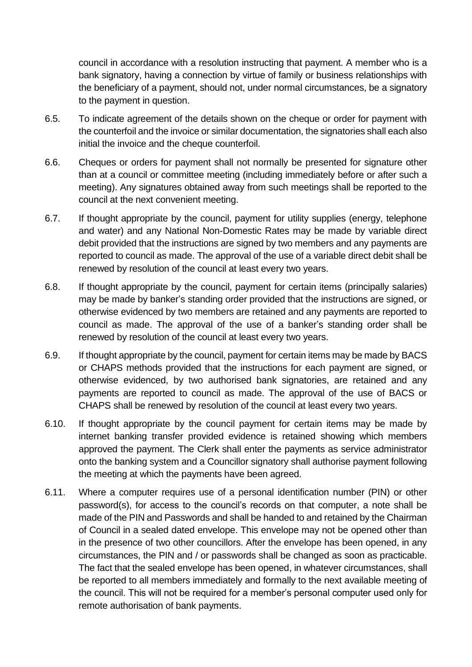council in accordance with a resolution instructing that payment. A member who is a bank signatory, having a connection by virtue of family or business relationships with the beneficiary of a payment, should not, under normal circumstances, be a signatory to the payment in question.

- 6.5. To indicate agreement of the details shown on the cheque or order for payment with the counterfoil and the invoice or similar documentation, the signatories shall each also initial the invoice and the cheque counterfoil.
- 6.6. Cheques or orders for payment shall not normally be presented for signature other than at a council or committee meeting (including immediately before or after such a meeting). Any signatures obtained away from such meetings shall be reported to the council at the next convenient meeting.
- 6.7. If thought appropriate by the council, payment for utility supplies (energy, telephone and water) and any National Non-Domestic Rates may be made by variable direct debit provided that the instructions are signed by two members and any payments are reported to council as made. The approval of the use of a variable direct debit shall be renewed by resolution of the council at least every two years.
- 6.8. If thought appropriate by the council, payment for certain items (principally salaries) may be made by banker's standing order provided that the instructions are signed, or otherwise evidenced by two members are retained and any payments are reported to council as made. The approval of the use of a banker's standing order shall be renewed by resolution of the council at least every two years.
- 6.9. If thought appropriate by the council, payment for certain items may be made by BACS or CHAPS methods provided that the instructions for each payment are signed, or otherwise evidenced, by two authorised bank signatories, are retained and any payments are reported to council as made. The approval of the use of BACS or CHAPS shall be renewed by resolution of the council at least every two years.
- 6.10. If thought appropriate by the council payment for certain items may be made by internet banking transfer provided evidence is retained showing which members approved the payment. The Clerk shall enter the payments as service administrator onto the banking system and a Councillor signatory shall authorise payment following the meeting at which the payments have been agreed.
- 6.11. Where a computer requires use of a personal identification number (PIN) or other password(s), for access to the council's records on that computer, a note shall be made of the PIN and Passwords and shall be handed to and retained by the Chairman of Council in a sealed dated envelope. This envelope may not be opened other than in the presence of two other councillors. After the envelope has been opened, in any circumstances, the PIN and / or passwords shall be changed as soon as practicable. The fact that the sealed envelope has been opened, in whatever circumstances, shall be reported to all members immediately and formally to the next available meeting of the council. This will not be required for a member's personal computer used only for remote authorisation of bank payments.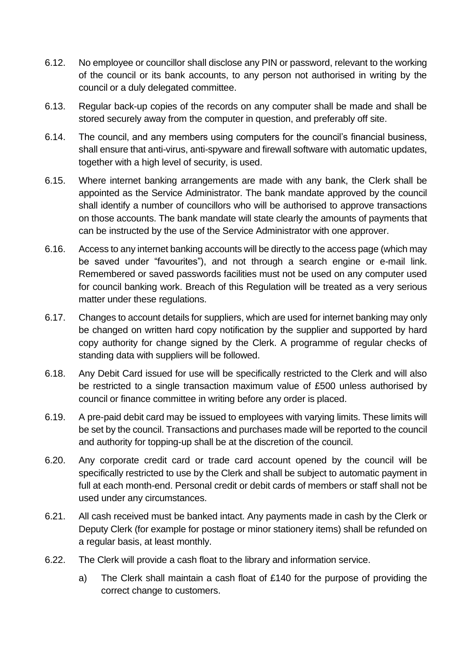- 6.12. No employee or councillor shall disclose any PIN or password, relevant to the working of the council or its bank accounts, to any person not authorised in writing by the council or a duly delegated committee.
- 6.13. Regular back-up copies of the records on any computer shall be made and shall be stored securely away from the computer in question, and preferably off site.
- 6.14. The council, and any members using computers for the council's financial business, shall ensure that anti-virus, anti-spyware and firewall software with automatic updates, together with a high level of security, is used.
- 6.15. Where internet banking arrangements are made with any bank, the Clerk shall be appointed as the Service Administrator. The bank mandate approved by the council shall identify a number of councillors who will be authorised to approve transactions on those accounts. The bank mandate will state clearly the amounts of payments that can be instructed by the use of the Service Administrator with one approver.
- 6.16. Access to any internet banking accounts will be directly to the access page (which may be saved under "favourites"), and not through a search engine or e-mail link. Remembered or saved passwords facilities must not be used on any computer used for council banking work. Breach of this Regulation will be treated as a very serious matter under these regulations.
- 6.17. Changes to account details for suppliers, which are used for internet banking may only be changed on written hard copy notification by the supplier and supported by hard copy authority for change signed by the Clerk. A programme of regular checks of standing data with suppliers will be followed.
- 6.18. Any Debit Card issued for use will be specifically restricted to the Clerk and will also be restricted to a single transaction maximum value of £500 unless authorised by council or finance committee in writing before any order is placed.
- 6.19. A pre-paid debit card may be issued to employees with varying limits. These limits will be set by the council. Transactions and purchases made will be reported to the council and authority for topping-up shall be at the discretion of the council.
- 6.20. Any corporate credit card or trade card account opened by the council will be specifically restricted to use by the Clerk and shall be subject to automatic payment in full at each month-end. Personal credit or debit cards of members or staff shall not be used under any circumstances.
- 6.21. All cash received must be banked intact. Any payments made in cash by the Clerk or Deputy Clerk (for example for postage or minor stationery items) shall be refunded on a regular basis, at least monthly.
- 6.22. The Clerk will provide a cash float to the library and information service.
	- a) The Clerk shall maintain a cash float of £140 for the purpose of providing the correct change to customers.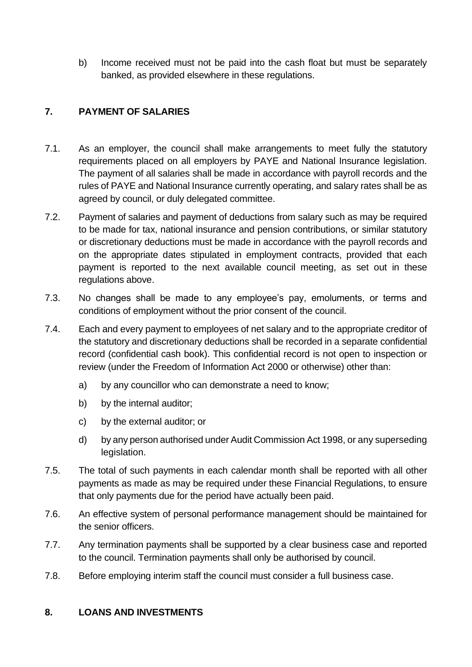b) Income received must not be paid into the cash float but must be separately banked, as provided elsewhere in these regulations.

# <span id="page-11-0"></span>**7. PAYMENT OF SALARIES**

- 7.1. As an employer, the council shall make arrangements to meet fully the statutory requirements placed on all employers by PAYE and National Insurance legislation. The payment of all salaries shall be made in accordance with payroll records and the rules of PAYE and National Insurance currently operating, and salary rates shall be as agreed by council, or duly delegated committee.
- 7.2. Payment of salaries and payment of deductions from salary such as may be required to be made for tax, national insurance and pension contributions, or similar statutory or discretionary deductions must be made in accordance with the payroll records and on the appropriate dates stipulated in employment contracts, provided that each payment is reported to the next available council meeting, as set out in these regulations above.
- 7.3. No changes shall be made to any employee's pay, emoluments, or terms and conditions of employment without the prior consent of the council.
- 7.4. Each and every payment to employees of net salary and to the appropriate creditor of the statutory and discretionary deductions shall be recorded in a separate confidential record (confidential cash book). This confidential record is not open to inspection or review (under the Freedom of Information Act 2000 or otherwise) other than:
	- a) by any councillor who can demonstrate a need to know;
	- b) by the internal auditor:
	- c) by the external auditor; or
	- d) by any person authorised under Audit Commission Act 1998, or any superseding legislation.
- 7.5. The total of such payments in each calendar month shall be reported with all other payments as made as may be required under these Financial Regulations, to ensure that only payments due for the period have actually been paid.
- 7.6. An effective system of personal performance management should be maintained for the senior officers.
- 7.7. Any termination payments shall be supported by a clear business case and reported to the council. Termination payments shall only be authorised by council.
- 7.8. Before employing interim staff the council must consider a full business case.

#### <span id="page-11-1"></span>**8. LOANS AND INVESTMENTS**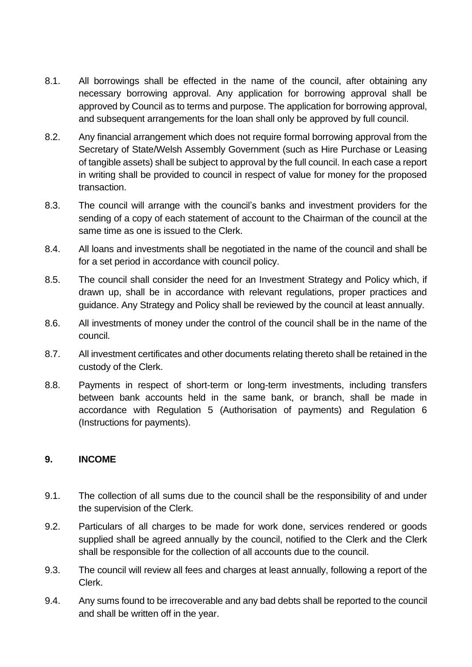- 8.1. All borrowings shall be effected in the name of the council, after obtaining any necessary borrowing approval. Any application for borrowing approval shall be approved by Council as to terms and purpose. The application for borrowing approval, and subsequent arrangements for the loan shall only be approved by full council.
- 8.2. Any financial arrangement which does not require formal borrowing approval from the Secretary of State/Welsh Assembly Government (such as Hire Purchase or Leasing of tangible assets) shall be subject to approval by the full council. In each case a report in writing shall be provided to council in respect of value for money for the proposed transaction.
- 8.3. The council will arrange with the council's banks and investment providers for the sending of a copy of each statement of account to the Chairman of the council at the same time as one is issued to the Clerk.
- 8.4. All loans and investments shall be negotiated in the name of the council and shall be for a set period in accordance with council policy.
- 8.5. The council shall consider the need for an Investment Strategy and Policy which, if drawn up, shall be in accordance with relevant regulations, proper practices and guidance. Any Strategy and Policy shall be reviewed by the council at least annually.
- 8.6. All investments of money under the control of the council shall be in the name of the council.
- 8.7. All investment certificates and other documents relating thereto shall be retained in the custody of the Clerk.
- 8.8. Payments in respect of short-term or long-term investments, including transfers between bank accounts held in the same bank, or branch, shall be made in accordance with Regulation 5 (Authorisation of payments) and Regulation 6 (Instructions for payments).

#### <span id="page-12-0"></span>**9. INCOME**

- 9.1. The collection of all sums due to the council shall be the responsibility of and under the supervision of the Clerk.
- 9.2. Particulars of all charges to be made for work done, services rendered or goods supplied shall be agreed annually by the council, notified to the Clerk and the Clerk shall be responsible for the collection of all accounts due to the council.
- 9.3. The council will review all fees and charges at least annually, following a report of the Clerk.
- 9.4. Any sums found to be irrecoverable and any bad debts shall be reported to the council and shall be written off in the year.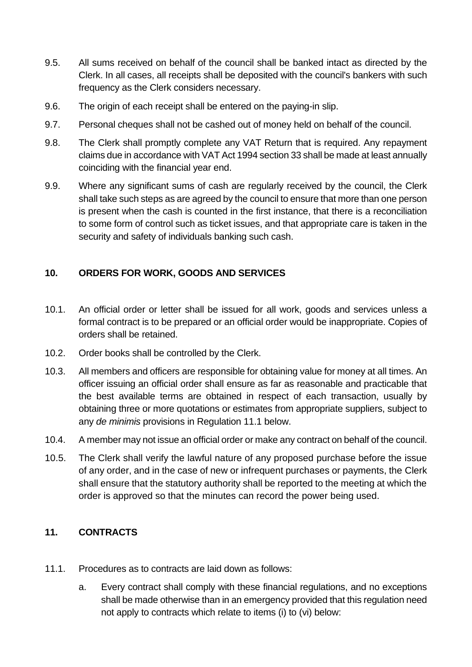- 9.5. All sums received on behalf of the council shall be banked intact as directed by the Clerk. In all cases, all receipts shall be deposited with the council's bankers with such frequency as the Clerk considers necessary.
- 9.6. The origin of each receipt shall be entered on the paying-in slip.
- 9.7. Personal cheques shall not be cashed out of money held on behalf of the council.
- 9.8. The Clerk shall promptly complete any VAT Return that is required. Any repayment claims due in accordance with VAT Act 1994 section 33 shall be made at least annually coinciding with the financial year end.
- 9.9. Where any significant sums of cash are regularly received by the council, the Clerk shall take such steps as are agreed by the council to ensure that more than one person is present when the cash is counted in the first instance, that there is a reconciliation to some form of control such as ticket issues, and that appropriate care is taken in the security and safety of individuals banking such cash.

## <span id="page-13-0"></span>**10. ORDERS FOR WORK, GOODS AND SERVICES**

- 10.1. An official order or letter shall be issued for all work, goods and services unless a formal contract is to be prepared or an official order would be inappropriate. Copies of orders shall be retained.
- 10.2. Order books shall be controlled by the Clerk.
- 10.3. All members and officers are responsible for obtaining value for money at all times. An officer issuing an official order shall ensure as far as reasonable and practicable that the best available terms are obtained in respect of each transaction, usually by obtaining three or more quotations or estimates from appropriate suppliers, subject to any *de minimis* provisions in Regulation 11.1 below.
- 10.4. A member may not issue an official order or make any contract on behalf of the council.
- 10.5. The Clerk shall verify the lawful nature of any proposed purchase before the issue of any order, and in the case of new or infrequent purchases or payments, the Clerk shall ensure that the statutory authority shall be reported to the meeting at which the order is approved so that the minutes can record the power being used.

#### <span id="page-13-1"></span>**11. CONTRACTS**

- 11.1. Procedures as to contracts are laid down as follows:
	- a. Every contract shall comply with these financial regulations, and no exceptions shall be made otherwise than in an emergency provided that this regulation need not apply to contracts which relate to items (i) to (vi) below: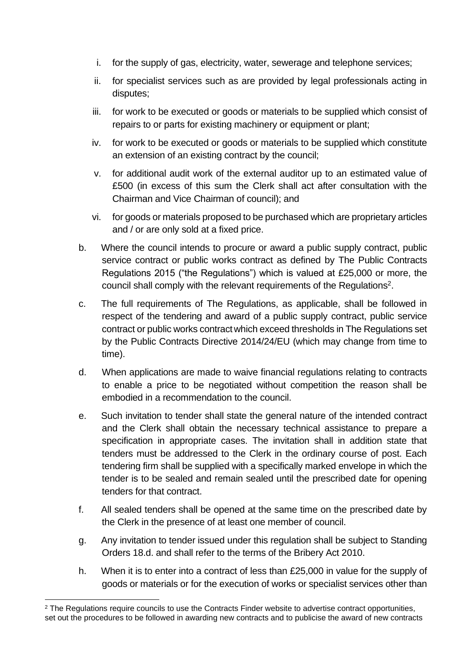- i. for the supply of gas, electricity, water, sewerage and telephone services;
- ii. for specialist services such as are provided by legal professionals acting in disputes;
- iii. for work to be executed or goods or materials to be supplied which consist of repairs to or parts for existing machinery or equipment or plant;
- iv. for work to be executed or goods or materials to be supplied which constitute an extension of an existing contract by the council;
- v. for additional audit work of the external auditor up to an estimated value of £500 (in excess of this sum the Clerk shall act after consultation with the Chairman and Vice Chairman of council); and
- vi. for goods or materials proposed to be purchased which are proprietary articles and / or are only sold at a fixed price.
- b. Where the council intends to procure or award a public supply contract, public service contract or public works contract as defined by The Public Contracts Regulations 2015 ("the Regulations") which is valued at £25,000 or more, the council shall comply with the relevant requirements of the Regulations<sup>2</sup>.
- c. The full requirements of The Regulations, as applicable, shall be followed in respect of the tendering and award of a public supply contract, public service contract or public works contractwhich exceed thresholds in The Regulations set by the Public Contracts Directive 2014/24/EU (which may change from time to time).
- d. When applications are made to waive financial regulations relating to contracts to enable a price to be negotiated without competition the reason shall be embodied in a recommendation to the council.
- e. Such invitation to tender shall state the general nature of the intended contract and the Clerk shall obtain the necessary technical assistance to prepare a specification in appropriate cases. The invitation shall in addition state that tenders must be addressed to the Clerk in the ordinary course of post. Each tendering firm shall be supplied with a specifically marked envelope in which the tender is to be sealed and remain sealed until the prescribed date for opening tenders for that contract.
- f. All sealed tenders shall be opened at the same time on the prescribed date by the Clerk in the presence of at least one member of council.
- g. Any invitation to tender issued under this regulation shall be subject to Standing Orders 18.d. and shall refer to the terms of the Bribery Act 2010.
- h. When it is to enter into a contract of less than £25,000 in value for the supply of goods or materials or for the execution of works or specialist services other than

<sup>&</sup>lt;sup>2</sup> The Regulations require councils to use the Contracts Finder website to advertise contract opportunities, set out the procedures to be followed in awarding new contracts and to publicise the award of new contracts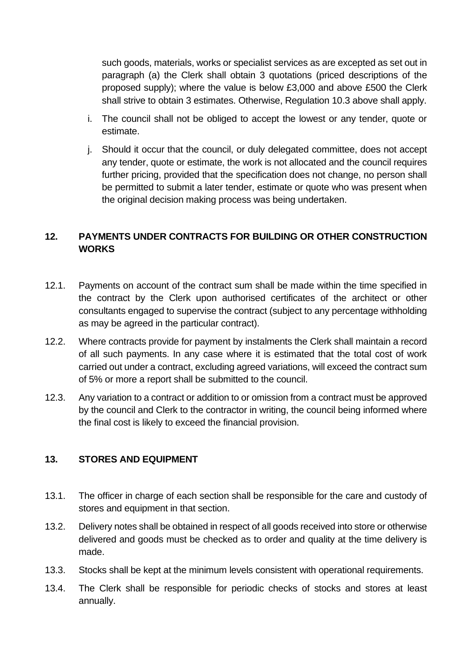such goods, materials, works or specialist services as are excepted as set out in paragraph (a) the Clerk shall obtain 3 quotations (priced descriptions of the proposed supply); where the value is below £3,000 and above £500 the Clerk shall strive to obtain 3 estimates. Otherwise, Regulation 10.3 above shall apply.

- i. The council shall not be obliged to accept the lowest or any tender, quote or estimate.
- j. Should it occur that the council, or duly delegated committee, does not accept any tender, quote or estimate, the work is not allocated and the council requires further pricing, provided that the specification does not change, no person shall be permitted to submit a later tender, estimate or quote who was present when the original decision making process was being undertaken.

## <span id="page-15-0"></span>**12. PAYMENTS UNDER CONTRACTS FOR BUILDING OR OTHER CONSTRUCTION WORKS**

- 12.1. Payments on account of the contract sum shall be made within the time specified in the contract by the Clerk upon authorised certificates of the architect or other consultants engaged to supervise the contract (subject to any percentage withholding as may be agreed in the particular contract).
- 12.2. Where contracts provide for payment by instalments the Clerk shall maintain a record of all such payments. In any case where it is estimated that the total cost of work carried out under a contract, excluding agreed variations, will exceed the contract sum of 5% or more a report shall be submitted to the council.
- 12.3. Any variation to a contract or addition to or omission from a contract must be approved by the council and Clerk to the contractor in writing, the council being informed where the final cost is likely to exceed the financial provision.

#### <span id="page-15-1"></span>**13. STORES AND EQUIPMENT**

- 13.1. The officer in charge of each section shall be responsible for the care and custody of stores and equipment in that section.
- 13.2. Delivery notes shall be obtained in respect of all goods received into store or otherwise delivered and goods must be checked as to order and quality at the time delivery is made.
- 13.3. Stocks shall be kept at the minimum levels consistent with operational requirements.
- 13.4. The Clerk shall be responsible for periodic checks of stocks and stores at least annually.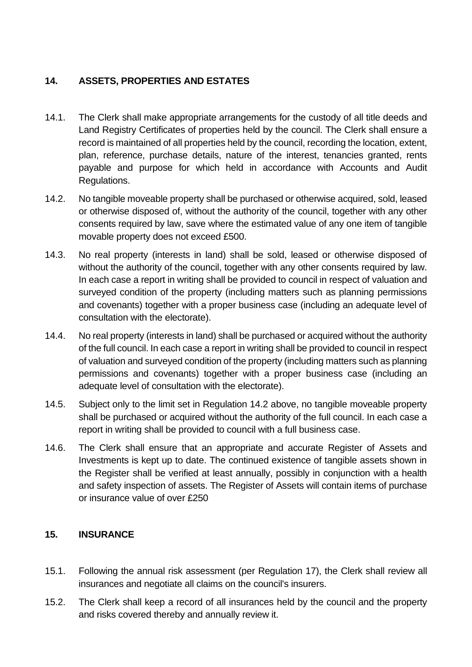# <span id="page-16-0"></span>**14. ASSETS, PROPERTIES AND ESTATES**

- 14.1. The Clerk shall make appropriate arrangements for the custody of all title deeds and Land Registry Certificates of properties held by the council. The Clerk shall ensure a record is maintained of all properties held by the council, recording the location, extent, plan, reference, purchase details, nature of the interest, tenancies granted, rents payable and purpose for which held in accordance with Accounts and Audit Regulations.
- 14.2. No tangible moveable property shall be purchased or otherwise acquired, sold, leased or otherwise disposed of, without the authority of the council, together with any other consents required by law, save where the estimated value of any one item of tangible movable property does not exceed £500.
- 14.3. No real property (interests in land) shall be sold, leased or otherwise disposed of without the authority of the council, together with any other consents required by law. In each case a report in writing shall be provided to council in respect of valuation and surveyed condition of the property (including matters such as planning permissions and covenants) together with a proper business case (including an adequate level of consultation with the electorate).
- 14.4. No real property (interests in land) shall be purchased or acquired without the authority of the full council. In each case a report in writing shall be provided to council in respect of valuation and surveyed condition of the property (including matters such as planning permissions and covenants) together with a proper business case (including an adequate level of consultation with the electorate).
- 14.5. Subject only to the limit set in Regulation 14.2 above, no tangible moveable property shall be purchased or acquired without the authority of the full council. In each case a report in writing shall be provided to council with a full business case.
- 14.6. The Clerk shall ensure that an appropriate and accurate Register of Assets and Investments is kept up to date. The continued existence of tangible assets shown in the Register shall be verified at least annually, possibly in conjunction with a health and safety inspection of assets. The Register of Assets will contain items of purchase or insurance value of over £250

# <span id="page-16-1"></span>**15. INSURANCE**

- 15.1. Following the annual risk assessment (per Regulation 17), the Clerk shall review all insurances and negotiate all claims on the council's insurers.
- 15.2. The Clerk shall keep a record of all insurances held by the council and the property and risks covered thereby and annually review it.